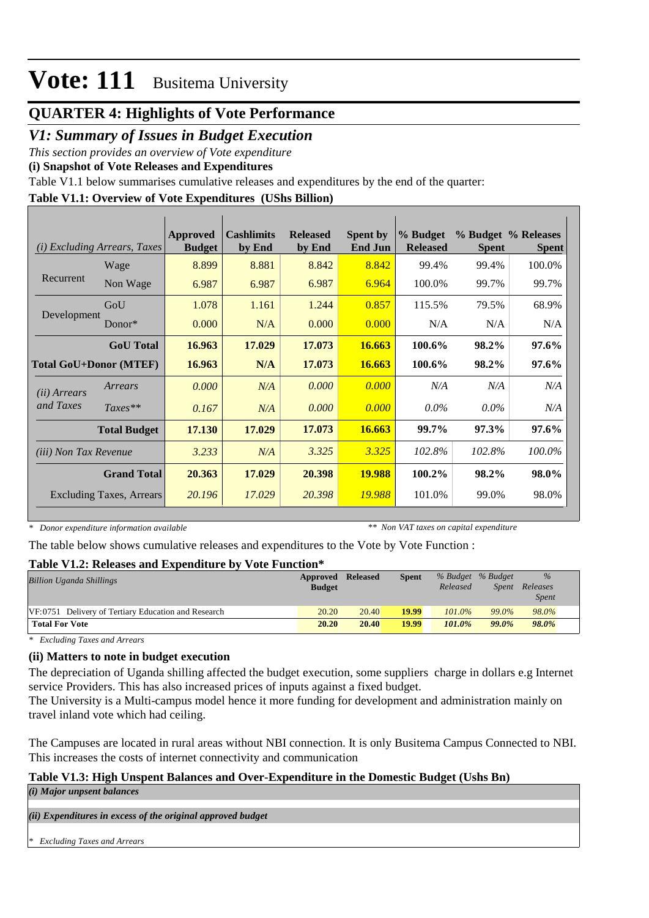### **QUARTER 4: Highlights of Vote Performance**

#### *V1: Summary of Issues in Budget Execution*

*This section provides an overview of Vote expenditure* 

**(i) Snapshot of Vote Releases and Expenditures**

Table V1.1 below summarises cumulative releases and expenditures by the end of the quarter:

#### **Table V1.1: Overview of Vote Expenditures (UShs Billion)**

| (i)                           | <b>Excluding Arrears, Taxes</b> | Approved<br><b>Budget</b> | <b>Cashlimits</b><br>by End | <b>Released</b><br>by End | <b>Spent by</b><br><b>End Jun</b> | % Budget<br><b>Released</b> | <b>Spent</b> | % Budget % Releases<br><b>Spent</b> |
|-------------------------------|---------------------------------|---------------------------|-----------------------------|---------------------------|-----------------------------------|-----------------------------|--------------|-------------------------------------|
|                               | Wage                            | 8.899                     | 8.881                       | 8.842                     | 8.842                             | 99.4%                       | 99.4%        | 100.0%                              |
| Recurrent                     | Non Wage                        | 6.987                     | 6.987                       | 6.987                     | 6.964                             | 100.0%                      | 99.7%        | 99.7%                               |
|                               | GoU                             | 1.078                     | 1.161                       | 1.244                     | 0.857                             | 115.5%                      | 79.5%        | 68.9%                               |
| Development                   | $Donor*$                        | 0.000                     | N/A                         | 0.000                     | 0.000                             | N/A                         | N/A          | N/A                                 |
|                               | <b>GoU</b> Total                | 16.963                    | 17.029                      | 17.073                    | 16.663                            | 100.6%                      | 98.2%        | 97.6%                               |
| <b>Total GoU+Donor (MTEF)</b> |                                 | 16.963                    | N/A                         | 17.073                    | 16.663                            | 100.6%                      | 98.2%        | 97.6%                               |
| ( <i>ii</i> ) Arrears         | Arrears                         | 0.000                     | N/A                         | 0.000                     | 0.000                             | N/A                         | N/A          | N/A                                 |
| and Taxes                     | $Taxes**$                       | 0.167                     | N/A                         | 0.000                     | 0.000                             | $0.0\%$                     | $0.0\%$      | N/A                                 |
|                               | <b>Total Budget</b>             | 17.130                    | 17.029                      | 17.073                    | 16.663                            | 99.7%                       | 97.3%        | 97.6%                               |
| <i>(iii)</i> Non Tax Revenue  |                                 | 3.233                     | N/A                         | 3.325                     | 3.325                             | 102.8%                      | 102.8%       | 100.0%                              |
|                               | <b>Grand Total</b>              | 20.363                    | 17.029                      | 20.398                    | <b>19.988</b>                     | 100.2%                      | 98.2%        | 98.0%                               |
|                               | <b>Excluding Taxes, Arrears</b> | 20.196                    | 17.029                      | 20.398                    | 19.988                            | 101.0%                      | 99.0%        | 98.0%                               |

*\* Donor expenditure information available*

*\*\* Non VAT taxes on capital expenditure*

The table below shows cumulative releases and expenditures to the Vote by Vote Function :

#### **Table V1.2: Releases and Expenditure by Vote Function\***

| <b>Billion Uganda Shillings</b>                     | <b>Approved Released</b> |       | <b>Spent</b> |           | % Budget % Budget | $\%$         |  |
|-----------------------------------------------------|--------------------------|-------|--------------|-----------|-------------------|--------------|--|
|                                                     | <b>Budget</b>            |       |              | Released  | Spent             | Releases     |  |
|                                                     |                          |       |              |           |                   | <i>Spent</i> |  |
| VF:0751 Delivery of Tertiary Education and Research | 20.20                    | 20.40 | 19.99        | $101.0\%$ | 99.0%             | 98.0%        |  |
| <b>Total For Vote</b>                               | 20.20                    | 20.40 | 19.99        | 101.0%    | 99.0%             | 98.0%        |  |

*\* Excluding Taxes and Arrears*

#### **(ii) Matters to note in budget execution**

The depreciation of Uganda shilling affected the budget execution, some suppliers charge in dollars e.g Internet service Providers. This has also increased prices of inputs against a fixed budget.

The University is a Multi-campus model hence it more funding for development and administration mainly on travel inland vote which had ceiling.

The Campuses are located in rural areas without NBI connection. It is only Busitema Campus Connected to NBI. This increases the costs of internet connectivity and communication

#### **Table V1.3: High Unspent Balances and Over-Expenditure in the Domestic Budget (Ushs Bn)**

*(i) Major unpsent balances*

*(ii) Expenditures in excess of the original approved budget*

*\* Excluding Taxes and Arrears*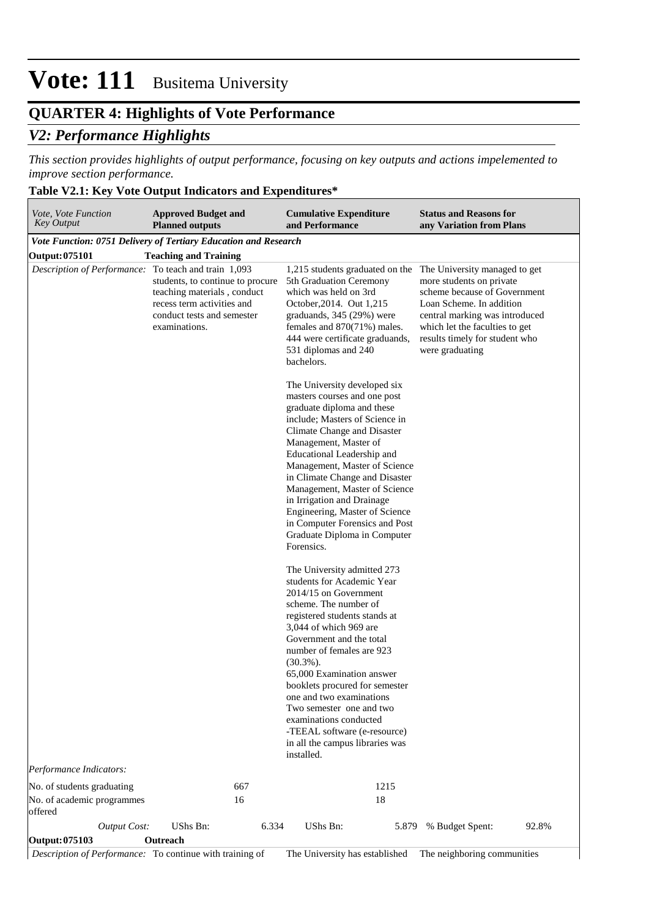### **QUARTER 4: Highlights of Vote Performance**

### *V2: Performance Highlights*

*This section provides highlights of output performance, focusing on key outputs and actions impelemented to improve section performance.*

#### **Table V2.1: Key Vote Output Indicators and Expenditures\***

| Vote, Vote Function<br><b>Key Output</b>                            | <b>Approved Budget and</b><br><b>Planned outputs</b>                                                                                         | <b>Cumulative Expenditure</b><br>and Performance                                                                                                                                                                                                                                                                                                                                                                                                                                  | <b>Status and Reasons for</b><br>any Variation from Plans                                                                                                                                                                                      |
|---------------------------------------------------------------------|----------------------------------------------------------------------------------------------------------------------------------------------|-----------------------------------------------------------------------------------------------------------------------------------------------------------------------------------------------------------------------------------------------------------------------------------------------------------------------------------------------------------------------------------------------------------------------------------------------------------------------------------|------------------------------------------------------------------------------------------------------------------------------------------------------------------------------------------------------------------------------------------------|
|                                                                     | Vote Function: 0751 Delivery of Tertiary Education and Research                                                                              |                                                                                                                                                                                                                                                                                                                                                                                                                                                                                   |                                                                                                                                                                                                                                                |
| <b>Output: 075101</b>                                               | <b>Teaching and Training</b>                                                                                                                 |                                                                                                                                                                                                                                                                                                                                                                                                                                                                                   |                                                                                                                                                                                                                                                |
| Description of Performance: To teach and train 1,093                | students, to continue to procure<br>teaching materials, conduct<br>recess term activities and<br>conduct tests and semester<br>examinations. | 1,215 students graduated on the<br>5th Graduation Ceremony<br>which was held on 3rd<br>October, 2014. Out 1,215<br>graduands, 345 (29%) were<br>females and $870(71%)$ males.<br>444 were certificate graduands,<br>531 diplomas and 240<br>bachelors.                                                                                                                                                                                                                            | The University managed to get<br>more students on private<br>scheme because of Government<br>Loan Scheme. In addition<br>central marking was introduced<br>which let the faculties to get<br>results timely for student who<br>were graduating |
|                                                                     |                                                                                                                                              | The University developed six<br>masters courses and one post<br>graduate diploma and these<br>include; Masters of Science in<br>Climate Change and Disaster<br>Management, Master of<br>Educational Leadership and<br>Management, Master of Science<br>in Climate Change and Disaster<br>Management, Master of Science<br>in Irrigation and Drainage<br>Engineering, Master of Science<br>in Computer Forensics and Post<br>Graduate Diploma in Computer<br>Forensics.            |                                                                                                                                                                                                                                                |
|                                                                     |                                                                                                                                              | The University admitted 273<br>students for Academic Year<br>2014/15 on Government<br>scheme. The number of<br>registered students stands at<br>3,044 of which 969 are<br>Government and the total<br>number of females are 923<br>$(30.3\%)$ .<br>65,000 Examination answer<br>booklets procured for semester<br>one and two examinations<br>Two semester one and two<br>examinations conducted<br>-TEEAL software (e-resource)<br>in all the campus libraries was<br>installed. |                                                                                                                                                                                                                                                |
| Performance Indicators:                                             |                                                                                                                                              |                                                                                                                                                                                                                                                                                                                                                                                                                                                                                   |                                                                                                                                                                                                                                                |
| No. of students graduating<br>No. of academic programmes<br>offered | 667<br>16                                                                                                                                    | 1215<br>18                                                                                                                                                                                                                                                                                                                                                                                                                                                                        |                                                                                                                                                                                                                                                |
| <b>Output Cost:</b>                                                 | UShs Bn:<br>6.334                                                                                                                            | UShs Bn:<br>5.879                                                                                                                                                                                                                                                                                                                                                                                                                                                                 | % Budget Spent:<br>92.8%                                                                                                                                                                                                                       |
| Output: 075103                                                      | Outreach<br>Description of Performance: To continue with training of                                                                         | The University has established                                                                                                                                                                                                                                                                                                                                                                                                                                                    | The neighboring communities                                                                                                                                                                                                                    |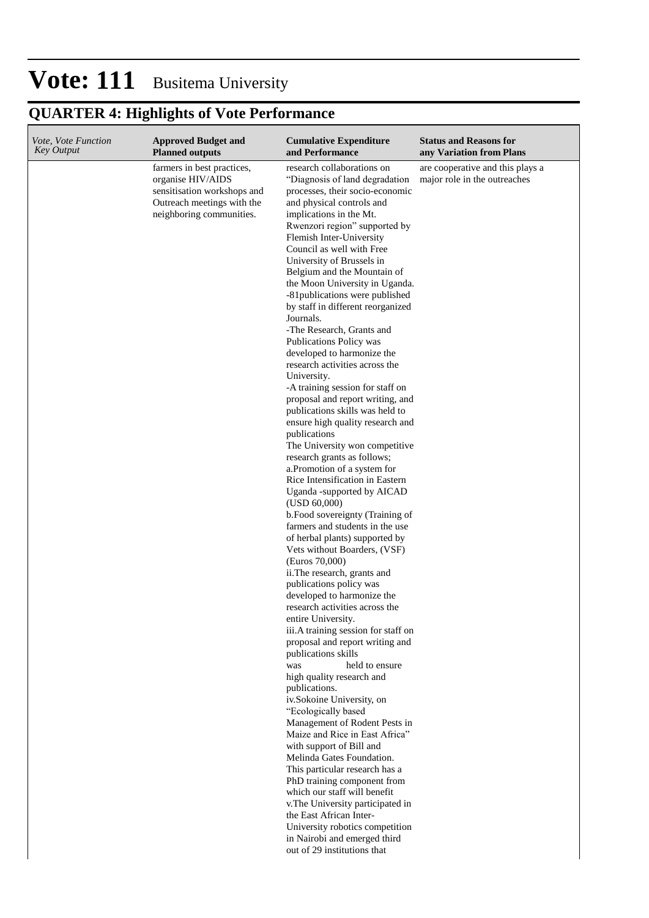## **QUARTER 4: Highlights of Vote Performance**

| <i>Vote, Vote Function</i> | <b>Approved Budget and</b>                                                                                                               | <b>Cumulative Expenditure</b>                                                                                                                                                                                                                                                                                                                                                                                                                                                                                                                                                                                                                                                                                                                                                                                                                                                                                                                                                                                                                                                                                                                                                                                                                                                                                                                                                                                                                                                                                                                                                                                                                                                                                                                                                                                                                                     | <b>Status and Reasons for</b>                                    |
|----------------------------|------------------------------------------------------------------------------------------------------------------------------------------|-------------------------------------------------------------------------------------------------------------------------------------------------------------------------------------------------------------------------------------------------------------------------------------------------------------------------------------------------------------------------------------------------------------------------------------------------------------------------------------------------------------------------------------------------------------------------------------------------------------------------------------------------------------------------------------------------------------------------------------------------------------------------------------------------------------------------------------------------------------------------------------------------------------------------------------------------------------------------------------------------------------------------------------------------------------------------------------------------------------------------------------------------------------------------------------------------------------------------------------------------------------------------------------------------------------------------------------------------------------------------------------------------------------------------------------------------------------------------------------------------------------------------------------------------------------------------------------------------------------------------------------------------------------------------------------------------------------------------------------------------------------------------------------------------------------------------------------------------------------------|------------------------------------------------------------------|
| <b>Key Output</b>          | <b>Planned outputs</b>                                                                                                                   | and Performance                                                                                                                                                                                                                                                                                                                                                                                                                                                                                                                                                                                                                                                                                                                                                                                                                                                                                                                                                                                                                                                                                                                                                                                                                                                                                                                                                                                                                                                                                                                                                                                                                                                                                                                                                                                                                                                   | any Variation from Plans                                         |
|                            | farmers in best practices,<br>organise HIV/AIDS<br>sensitisation workshops and<br>Outreach meetings with the<br>neighboring communities. | research collaborations on<br>"Diagnosis of land degradation<br>processes, their socio-economic<br>and physical controls and<br>implications in the Mt.<br>Rwenzori region" supported by<br>Flemish Inter-University<br>Council as well with Free<br>University of Brussels in<br>Belgium and the Mountain of<br>the Moon University in Uganda.<br>-81 publications were published<br>by staff in different reorganized<br>Journals.<br>-The Research, Grants and<br>Publications Policy was<br>developed to harmonize the<br>research activities across the<br>University.<br>-A training session for staff on<br>proposal and report writing, and<br>publications skills was held to<br>ensure high quality research and<br>publications<br>The University won competitive<br>research grants as follows;<br>a. Promotion of a system for<br>Rice Intensification in Eastern<br>Uganda -supported by AICAD<br>(USD 60,000)<br>b. Food sovereignty (Training of<br>farmers and students in the use<br>of herbal plants) supported by<br>Vets without Boarders, (VSF)<br>(Euros 70,000)<br>ii.The research, grants and<br>publications policy was<br>developed to harmonize the<br>research activities across the<br>entire University.<br>iii.A training session for staff on<br>proposal and report writing and<br>publications skills<br>held to ensure<br>was<br>high quality research and<br>publications.<br>iv.Sokoine University, on<br>"Ecologically based<br>Management of Rodent Pests in<br>Maize and Rice in East Africa"<br>with support of Bill and<br>Melinda Gates Foundation.<br>This particular research has a<br>PhD training component from<br>which our staff will benefit<br>v.The University participated in<br>the East African Inter-<br>University robotics competition<br>in Nairobi and emerged third<br>out of 29 institutions that | are cooperative and this plays a<br>major role in the outreaches |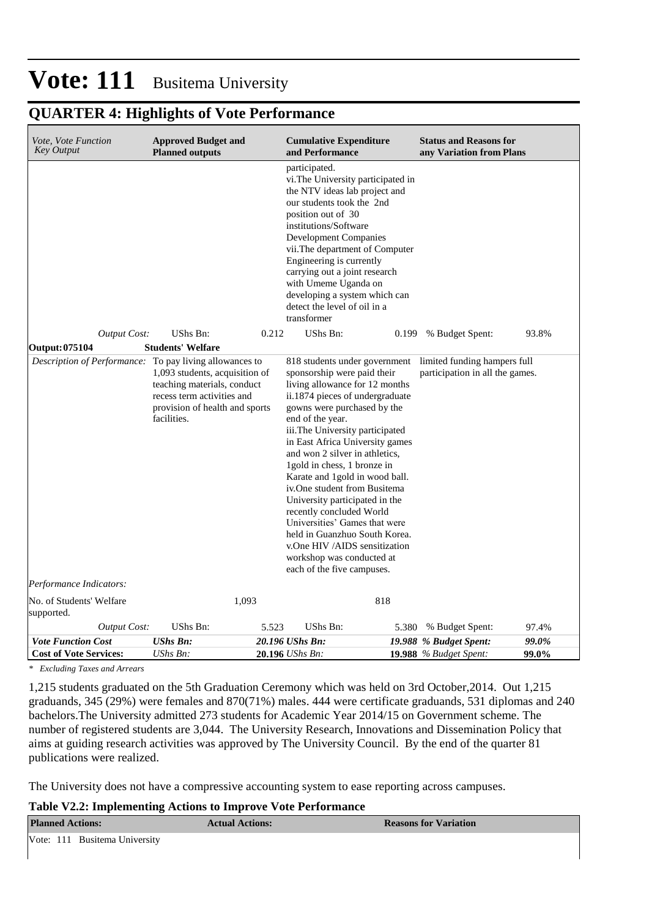### **QUARTER 4: Highlights of Vote Performance**

| participated.<br>vi.The University participated in<br>the NTV ideas lab project and<br>our students took the 2nd<br>position out of 30<br>institutions/Software<br><b>Development Companies</b><br>vii.The department of Computer<br>Engineering is currently<br>carrying out a joint research<br>with Umeme Uganda on<br>developing a system which can<br>detect the level of oil in a<br>transformer                                                                                                                                                                                                                                                                                                                                                                                                                                                                                                   |                |
|----------------------------------------------------------------------------------------------------------------------------------------------------------------------------------------------------------------------------------------------------------------------------------------------------------------------------------------------------------------------------------------------------------------------------------------------------------------------------------------------------------------------------------------------------------------------------------------------------------------------------------------------------------------------------------------------------------------------------------------------------------------------------------------------------------------------------------------------------------------------------------------------------------|----------------|
| UShs Bn:<br>0.212<br>UShs Bn:<br><b>Output Cost:</b><br>0.199<br>% Budget Spent:                                                                                                                                                                                                                                                                                                                                                                                                                                                                                                                                                                                                                                                                                                                                                                                                                         | 93.8%          |
| <b>Students' Welfare</b><br>Output: 075104                                                                                                                                                                                                                                                                                                                                                                                                                                                                                                                                                                                                                                                                                                                                                                                                                                                               |                |
| Description of Performance: To pay living allowances to<br>818 students under government<br>limited funding hampers full<br>1,093 students, acquisition of<br>sponsorship were paid their<br>participation in all the games.<br>teaching materials, conduct<br>living allowance for 12 months<br>recess term activities and<br>ii.1874 pieces of undergraduate<br>provision of health and sports<br>gowns were purchased by the<br>facilities.<br>end of the year.<br>iii.The University participated<br>in East Africa University games<br>and won 2 silver in athletics,<br>1gold in chess, 1 bronze in<br>Karate and 1 gold in wood ball.<br>iv.One student from Busitema<br>University participated in the<br>recently concluded World<br>Universities' Games that were<br>held in Guanzhuo South Korea.<br>v.One HIV /AIDS sensitization<br>workshop was conducted at<br>each of the five campuses. |                |
| Performance Indicators:                                                                                                                                                                                                                                                                                                                                                                                                                                                                                                                                                                                                                                                                                                                                                                                                                                                                                  |                |
| No. of Students' Welfare<br>1,093<br>818<br>supported.                                                                                                                                                                                                                                                                                                                                                                                                                                                                                                                                                                                                                                                                                                                                                                                                                                                   |                |
| UShs Bn:<br>UShs Bn:<br><b>Output Cost:</b><br>5.523<br>% Budget Spent:<br>5.380                                                                                                                                                                                                                                                                                                                                                                                                                                                                                                                                                                                                                                                                                                                                                                                                                         | 97.4%          |
| <b>Vote Function Cost</b><br><b>UShs Bn:</b><br>20.196 UShs Bn:<br>19.988 % Budget Spent:<br><b>Cost of Vote Services:</b><br>20.196 UShs Bn:<br>19.988 % Budget Spent:<br>UShs Bn:                                                                                                                                                                                                                                                                                                                                                                                                                                                                                                                                                                                                                                                                                                                      | 99.0%<br>99.0% |

*\* Excluding Taxes and Arrears*

1,215 students graduated on the 5th Graduation Ceremony which was held on 3rd October,2014. Out 1,215 graduands, 345 (29%) were females and 870(71%) males. 444 were certificate graduands, 531 diplomas and 240 bachelors.The University admitted 273 students for Academic Year 2014/15 on Government scheme. The number of registered students are 3,044. The University Research, Innovations and Dissemination Policy that aims at guiding research activities was approved by The University Council. By the end of the quarter 81 publications were realized.

The University does not have a compressive accounting system to ease reporting across campuses.

#### **Table V2.2: Implementing Actions to Improve Vote Performance**

| <b>Planned Actions:</b>       | <b>Actual Actions:</b> | <b>Reasons for Variation</b> |
|-------------------------------|------------------------|------------------------------|
| Vote: 111 Busitema University |                        |                              |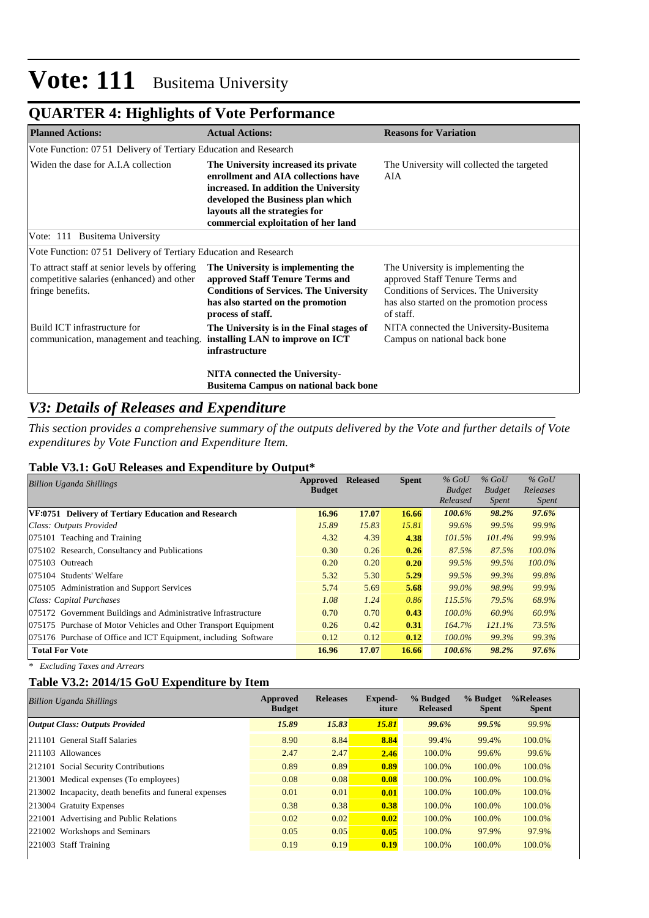### **QUARTER 4: Highlights of Vote Performance**

| <b>Planned Actions:</b>                                                                                        | <b>Actual Actions:</b>                                                                                                                                                                                                             | <b>Reasons for Variation</b>                                                                                                                                              |
|----------------------------------------------------------------------------------------------------------------|------------------------------------------------------------------------------------------------------------------------------------------------------------------------------------------------------------------------------------|---------------------------------------------------------------------------------------------------------------------------------------------------------------------------|
| Vote Function: 07 51 Delivery of Tertiary Education and Research                                               |                                                                                                                                                                                                                                    |                                                                                                                                                                           |
| Widen the dase for A.I.A collection                                                                            | The University increased its private<br>enrollment and AIA collections have<br>increased. In addition the University<br>developed the Business plan which<br>layouts all the strategies for<br>commercial exploitation of her land | The University will collected the targeted<br>AIA                                                                                                                         |
| Vote: 111 Busitema University                                                                                  |                                                                                                                                                                                                                                    |                                                                                                                                                                           |
| Vote Function: 07.51 Delivery of Tertiary Education and Research                                               |                                                                                                                                                                                                                                    |                                                                                                                                                                           |
| To attract staff at senior levels by offering<br>competitive salaries (enhanced) and other<br>fringe benefits. | The University is implementing the<br>approved Staff Tenure Terms and<br><b>Conditions of Services. The University</b><br>has also started on the promotion<br>process of staff.                                                   | The University is implementing the<br>approved Staff Tenure Terms and<br>Conditions of Services. The University<br>has also started on the promotion process<br>of staff. |
| Build ICT infrastructure for<br>communication, management and teaching.                                        | The University is in the Final stages of<br>installing LAN to improve on ICT<br>infrastructure                                                                                                                                     | NITA connected the University-Busitema<br>Campus on national back bone                                                                                                    |
|                                                                                                                | NITA connected the University-<br><b>Busitema Campus on national back bone</b>                                                                                                                                                     |                                                                                                                                                                           |

### *V3: Details of Releases and Expenditure*

*This section provides a comprehensive summary of the outputs delivered by the Vote and further details of Vote expenditures by Vote Function and Expenditure Item.*

#### **Table V3.1: GoU Releases and Expenditure by Output\***

| <b>Billion Uganda Shillings</b>                                 | Approved      | <b>Released</b> | <b>Spent</b> | $%$ GoU       | $%$ GoU       | $%$ GoU      |
|-----------------------------------------------------------------|---------------|-----------------|--------------|---------------|---------------|--------------|
|                                                                 | <b>Budget</b> |                 |              | <b>Budget</b> | <b>Budget</b> | Releases     |
|                                                                 |               |                 |              | Released      | <i>Spent</i>  | <b>Spent</b> |
| VF:0751 Delivery of Tertiary Education and Research             | 16.96         | 17.07           | 16.66        | 100.6%        | 98.2%         | 97.6%        |
| Class: Outputs Provided                                         | 15.89         | 15.83           | 15.81        | 99.6%         | 99.5%         | 99.9%        |
| 075101 Teaching and Training                                    | 4.32          | 4.39            | 4.38         | 101.5%        | $101.4\%$     | 99.9%        |
| 075102 Research, Consultancy and Publications                   | 0.30          | 0.26            | 0.26         | 87.5%         | 87.5%         | $100.0\%$    |
| 075103 Outreach                                                 | 0.20          | 0.20            | 0.20         | 99.5%         | 99.5%         | 100.0%       |
| 075104 Students' Welfare                                        | 5.32          | 5.30            | 5.29         | 99.5%         | 99.3%         | 99.8%        |
| 075105 Administration and Support Services                      | 5.74          | 5.69            | 5.68         | 99.0%         | 98.9%         | 99.9%        |
| Class: Capital Purchases                                        | 1.08          | 1.24            | 0.86         | 115.5%        | 79.5%         | 68.9%        |
| 075172 Government Buildings and Administrative Infrastructure   | 0.70          | 0.70            | 0.43         | $100.0\%$     | 60.9%         | 60.9%        |
| 075175 Purchase of Motor Vehicles and Other Transport Equipment | 0.26          | 0.42            | 0.31         | 164.7%        | 121.1%        | 73.5%        |
| 075176 Purchase of Office and ICT Equipment, including Software | 0.12          | 0.12            | 0.12         | $100.0\%$     | 99.3%         | 99.3%        |
| <b>Total For Vote</b>                                           | 16.96         | 17.07           | 16.66        | 100.6%        | 98.2%         | 97.6%        |

*\* Excluding Taxes and Arrears*

#### **Table V3.2: 2014/15 GoU Expenditure by Item**

| <b>Billion Uganda Shillings</b>                        | Approved<br><b>Budget</b> | <b>Releases</b> | Expend-<br>iture | % Budged<br><b>Released</b> | % Budget<br><b>Spent</b> | %Releases<br><b>Spent</b> |
|--------------------------------------------------------|---------------------------|-----------------|------------------|-----------------------------|--------------------------|---------------------------|
| <b>Output Class: Outputs Provided</b>                  | 15.89                     | 15.83           | 15.81            | 99.6%                       | 99.5%                    | 99.9%                     |
| 211101 General Staff Salaries                          | 8.90                      | 8.84            | 8.84             | 99.4%                       | 99.4%                    | 100.0%                    |
| 211103 Allowances                                      | 2.47                      | 2.47            | 2.46             | 100.0%                      | 99.6%                    | 99.6%                     |
| 212101 Social Security Contributions                   | 0.89                      | 0.89            | 0.89             | 100.0%                      | 100.0%                   | 100.0%                    |
| 213001 Medical expenses (To employees)                 | 0.08                      | 0.08            | 0.08             | 100.0%                      | 100.0%                   | 100.0%                    |
| 213002 Incapacity, death benefits and funeral expenses | 0.01                      | 0.01            | 0.01             | 100.0%                      | 100.0%                   | 100.0%                    |
| 213004 Gratuity Expenses                               | 0.38                      | 0.38            | 0.38             | 100.0%                      | 100.0%                   | 100.0%                    |
| 221001 Advertising and Public Relations                | 0.02                      | 0.02            | 0.02             | 100.0%                      | 100.0%                   | 100.0%                    |
| 221002 Workshops and Seminars                          | 0.05                      | 0.05            | 0.05             | 100.0%                      | 97.9%                    | 97.9%                     |
| 221003 Staff Training                                  | 0.19                      | 0.19            | 0.19             | 100.0%                      | 100.0%                   | 100.0%                    |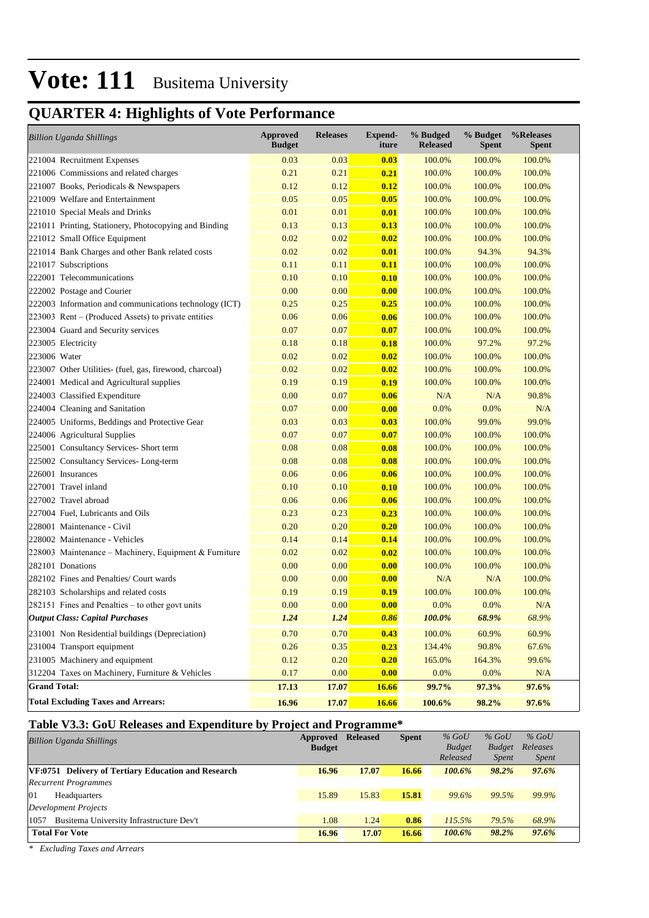## **QUARTER 4: Highlights of Vote Performance**

| <b>Billion Uganda Shillings</b>                         | <b>Approved</b><br><b>Budget</b> | <b>Releases</b> | <b>Expend-</b><br>iture | % Budged<br><b>Released</b> | % Budget<br><b>Spent</b> | %Releases<br><b>Spent</b> |
|---------------------------------------------------------|----------------------------------|-----------------|-------------------------|-----------------------------|--------------------------|---------------------------|
| 221004 Recruitment Expenses                             | 0.03                             | 0.03            | 0.03                    | 100.0%                      | 100.0%                   | 100.0%                    |
| 221006 Commissions and related charges                  | 0.21                             | 0.21            | 0.21                    | 100.0%                      | 100.0%                   | 100.0%                    |
| 221007 Books, Periodicals & Newspapers                  | 0.12                             | 0.12            | 0.12                    | 100.0%                      | 100.0%                   | 100.0%                    |
| 221009 Welfare and Entertainment                        | 0.05                             | 0.05            | 0.05                    | 100.0%                      | 100.0%                   | 100.0%                    |
| 221010 Special Meals and Drinks                         | 0.01                             | 0.01            | 0.01                    | 100.0%                      | 100.0%                   | 100.0%                    |
| 221011 Printing, Stationery, Photocopying and Binding   | 0.13                             | 0.13            | 0.13                    | 100.0%                      | 100.0%                   | 100.0%                    |
| 221012 Small Office Equipment                           | 0.02                             | 0.02            | 0.02                    | 100.0%                      | 100.0%                   | 100.0%                    |
| 221014 Bank Charges and other Bank related costs        | 0.02                             | 0.02            | 0.01                    | 100.0%                      | 94.3%                    | 94.3%                     |
| 221017 Subscriptions                                    | 0.11                             | 0.11            | 0.11                    | 100.0%                      | 100.0%                   | 100.0%                    |
| 222001 Telecommunications                               | 0.10                             | 0.10            | 0.10                    | 100.0%                      | 100.0%                   | 100.0%                    |
| 222002 Postage and Courier                              | 0.00                             | 0.00            | 0.00                    | 100.0%                      | 100.0%                   | 100.0%                    |
| 222003 Information and communications technology (ICT)  | 0.25                             | 0.25            | 0.25                    | 100.0%                      | 100.0%                   | 100.0%                    |
| 223003 Rent – (Produced Assets) to private entities     | 0.06                             | 0.06            | 0.06                    | 100.0%                      | 100.0%                   | 100.0%                    |
| 223004 Guard and Security services                      | 0.07                             | 0.07            | 0.07                    | 100.0%                      | 100.0%                   | 100.0%                    |
| 223005 Electricity                                      | 0.18                             | 0.18            | 0.18                    | 100.0%                      | 97.2%                    | 97.2%                     |
| 223006 Water                                            | 0.02                             | 0.02            | 0.02                    | 100.0%                      | 100.0%                   | 100.0%                    |
| 223007 Other Utilities- (fuel, gas, firewood, charcoal) | 0.02                             | 0.02            | 0.02                    | 100.0%                      | 100.0%                   | 100.0%                    |
| 224001 Medical and Agricultural supplies                | 0.19                             | 0.19            | 0.19                    | 100.0%                      | 100.0%                   | 100.0%                    |
| 224003 Classified Expenditure                           | 0.00                             | 0.07            | 0.06                    | N/A                         | N/A                      | 90.8%                     |
| 224004 Cleaning and Sanitation                          | 0.07                             | 0.00            | 0.00                    | 0.0%                        | 0.0%                     | N/A                       |
| 224005 Uniforms, Beddings and Protective Gear           | 0.03                             | 0.03            | 0.03                    | 100.0%                      | 99.0%                    | 99.0%                     |
| 224006 Agricultural Supplies                            | 0.07                             | 0.07            | 0.07                    | 100.0%                      | 100.0%                   | 100.0%                    |
| 225001 Consultancy Services- Short term                 | 0.08                             | 0.08            | 0.08                    | 100.0%                      | 100.0%                   | 100.0%                    |
| 225002 Consultancy Services-Long-term                   | 0.08                             | 0.08            | 0.08                    | 100.0%                      | 100.0%                   | 100.0%                    |
| 226001 Insurances                                       | 0.06                             | 0.06            | 0.06                    | 100.0%                      | 100.0%                   | 100.0%                    |
| 227001 Travel inland                                    | 0.10                             | 0.10            | 0.10                    | 100.0%                      | 100.0%                   | 100.0%                    |
| 227002 Travel abroad                                    | 0.06                             | 0.06            | 0.06                    | 100.0%                      | 100.0%                   | 100.0%                    |
| 227004 Fuel, Lubricants and Oils                        | 0.23                             | 0.23            | 0.23                    | 100.0%                      | 100.0%                   | 100.0%                    |
| 228001 Maintenance - Civil                              | 0.20                             | 0.20            | 0.20                    | 100.0%                      | 100.0%                   | 100.0%                    |
| 228002 Maintenance - Vehicles                           | 0.14                             | 0.14            | 0.14                    | 100.0%                      | 100.0%                   | 100.0%                    |
| 228003 Maintenance – Machinery, Equipment & Furniture   | 0.02                             | 0.02            | 0.02                    | 100.0%                      | 100.0%                   | 100.0%                    |
| 282101 Donations                                        | 0.00                             | 0.00            | 0.00                    | 100.0%                      | 100.0%                   | 100.0%                    |
| 282102 Fines and Penalties/ Court wards                 | 0.00                             | 0.00            | 0.00                    | N/A                         | N/A                      | 100.0%                    |
| 282103 Scholarships and related costs                   | 0.19                             | 0.19            | 0.19                    | 100.0%                      | 100.0%                   | 100.0%                    |
| 282151 Fines and Penalties – to other govt units        | 0.00                             | 0.00            | 0.00                    | 0.0%                        | 0.0%                     | N/A                       |
| <b>Output Class: Capital Purchases</b>                  | 1.24                             | 1.24            | 0.86                    | 100.0%                      | 68.9%                    | 68.9%                     |
| 231001 Non Residential buildings (Depreciation)         | 0.70                             | 0.70            | 0.43                    | 100.0%                      | 60.9%                    | 60.9%                     |
| 231004 Transport equipment                              | 0.26                             | 0.35            | 0.23                    | 134.4%                      | 90.8%                    | 67.6%                     |
| 231005 Machinery and equipment                          | 0.12                             | 0.20            | 0.20                    | 165.0%                      | 164.3%                   | 99.6%                     |
| 312204 Taxes on Machinery, Furniture & Vehicles         | 0.17                             | 0.00            | 0.00                    | 0.0%                        | 0.0%                     | N/A                       |
| <b>Grand Total:</b>                                     | 17.13                            | 17.07           | 16.66                   | 99.7%                       | 97.3%                    | 97.6%                     |
| <b>Total Excluding Taxes and Arrears:</b>               | 16.96                            | 17.07           | 16.66                   | 100.6%                      | 98.2%                    | 97.6%                     |

#### **Table V3.3: GoU Releases and Expenditure by Project and Programme\***

| <b>Billion Uganda Shillings</b>                     | Approved      | <b>Released</b> | <b>Spent</b> | $%$ GoU       | $%$ GoU       | $%$ GoU      |
|-----------------------------------------------------|---------------|-----------------|--------------|---------------|---------------|--------------|
|                                                     | <b>Budget</b> |                 |              | <b>Budget</b> | <b>Budget</b> | Releases     |
|                                                     |               |                 |              | Released      | <i>Spent</i>  | <i>Spent</i> |
| VF:0751 Delivery of Tertiary Education and Research | 16.96         | 17.07           | 16.66        | 100.6%        | 98.2%         | 97.6%        |
| <b>Recurrent Programmes</b>                         |               |                 |              |               |               |              |
| 01<br>Headquarters                                  | 15.89         | 15.83           | 15.81        | 99.6%         | 99.5%         | 99.9%        |
| Development Projects                                |               |                 |              |               |               |              |
| 1057<br>Busitema University Infrastructure Dev't    | 1.08          | 1.24            | 0.86         | 115.5%        | 79.5%         | 68.9%        |
| <b>Total For Vote</b>                               | 16.96         | 17.07           | 16.66        | 100.6%        | 98.2%         | 97.6%        |

*\* Excluding Taxes and Arrears*